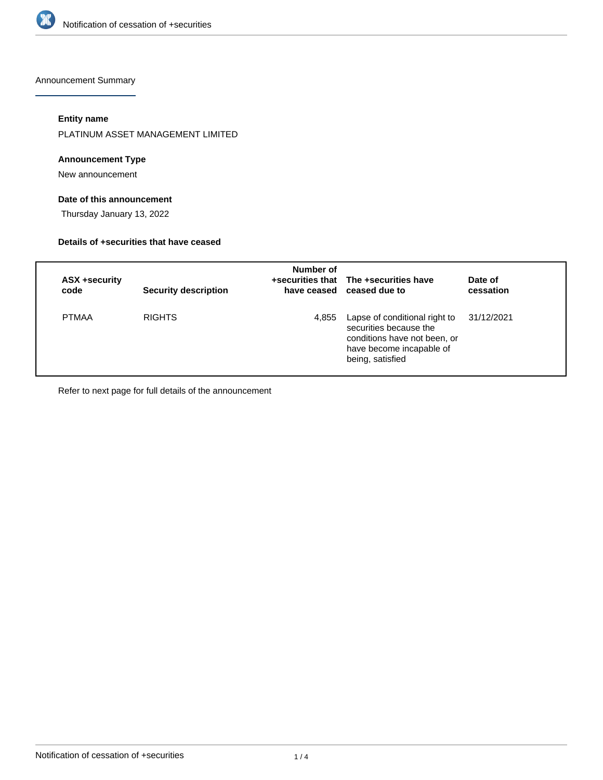

Announcement Summary

## **Entity name**

PLATINUM ASSET MANAGEMENT LIMITED

## **Announcement Type**

New announcement

## **Date of this announcement**

Thursday January 13, 2022

### **Details of +securities that have ceased**

| ASX +security<br>code | <b>Security description</b> | Number of | +securities that The +securities have<br>have ceased ceased due to                                                                      | Date of<br>cessation |
|-----------------------|-----------------------------|-----------|-----------------------------------------------------------------------------------------------------------------------------------------|----------------------|
| <b>PTMAA</b>          | <b>RIGHTS</b>               | 4,855     | Lapse of conditional right to<br>securities because the<br>conditions have not been, or<br>have become incapable of<br>being, satisfied | 31/12/2021           |

Refer to next page for full details of the announcement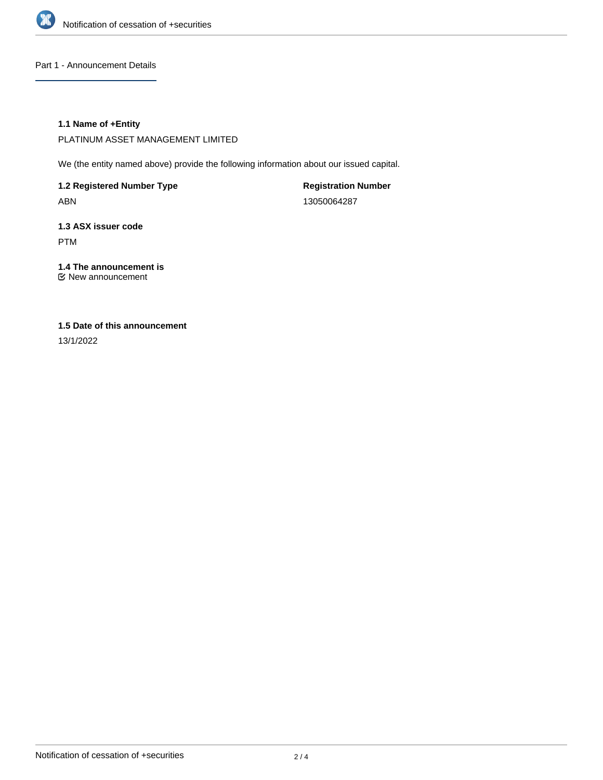

Part 1 - Announcement Details

## **1.1 Name of +Entity**

PLATINUM ASSET MANAGEMENT LIMITED

We (the entity named above) provide the following information about our issued capital.

**1.2 Registered Number Type** ABN

**Registration Number** 13050064287

**1.3 ASX issuer code** PTM

**1.4 The announcement is** New announcement

# **1.5 Date of this announcement**

13/1/2022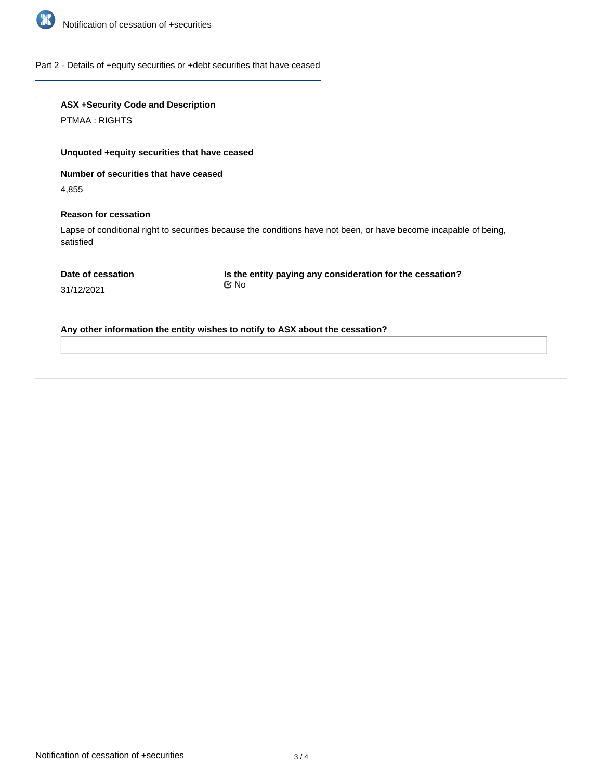

### Part 2 - Details of +equity securities or +debt securities that have ceased

# **ASX +Security Code and Description**

PTMAA : RIGHTS

## **Unquoted +equity securities that have ceased**

**Number of securities that have ceased**

4,855

#### **Reason for cessation**

Lapse of conditional right to securities because the conditions have not been, or have become incapable of being, satisfied

**Is the entity paying any consideration for the cessation?** No

31/12/2021

**Any other information the entity wishes to notify to ASX about the cessation?**